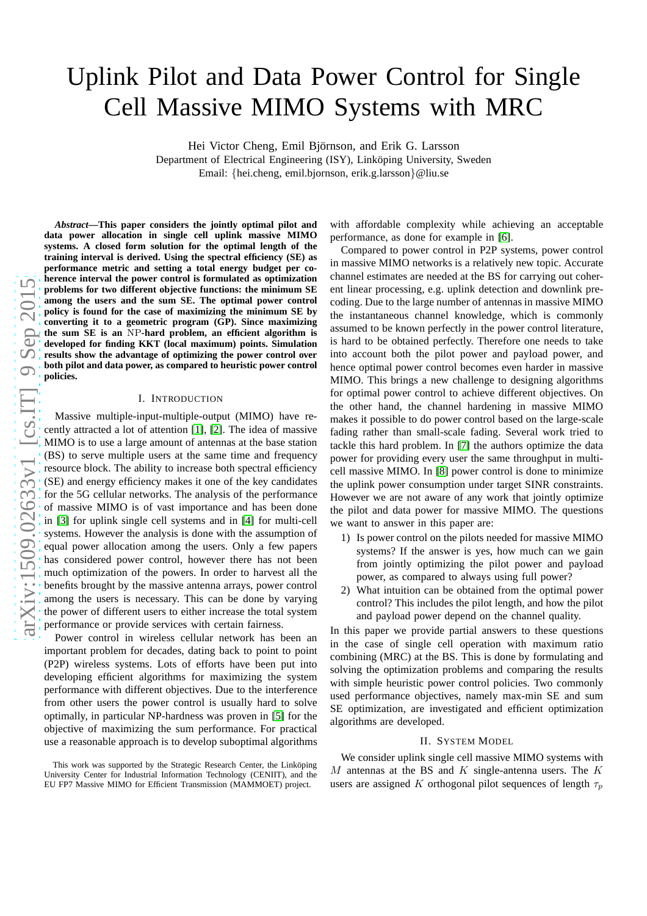# Uplink Pilot and Data Power Control for Single Cell Massive MIMO Systems with MRC

Hei Victor Cheng, Emil Björnson, and Erik G. Larsson

Department of Electrical Engineering (ISY), Linköping University, Sweden Email: {hei.cheng, emil.bjornson, erik.g.larsson }@liu.se

**policies.**

*Abstract***—This paper considers the jointly optimal pilot and data power allocation in single cell uplink massive MIMO systems. A closed form solution for the optimal length of the training interval is derived. Using the spectral efficiency (SE) as performance metric and setting a total energy budget per coherence interval the power control is formulated as optimization problems for two different objective functions: the minimum SE among the users and the sum SE. The optimal power control policy is found for the case of maximizing the minimum SE by converting it to a geometric program (GP). Since maximizing the sum SE is an** NP**-hard problem, an efficient algorithm is developed for finding KKT (local maximum) points. Simulatio n results show the advantage of optimizing the power control over both pilot and data power, as compared to heuristic power control**

#### I. INTRODUCTION

Massive multiple-input-multiple-output (MIMO) have recently attracted a lot of attention [\[1\]](#page-4-0), [\[2\]](#page-4-1). The idea of massive MIMO is to use a large amount of antennas at the base station (BS) to serve multiple users at the same time and frequency resource block. The ability to increase both spectral efficiency (SE) and energy efficiency makes it one of the key candidates for the 5G cellular networks. The analysis of the performanc e of massive MIMO is of vast importance and has been done in [\[3\]](#page-4-2) for uplink single cell systems and in [\[4\]](#page-4-3) for multi-cel l systems. However the analysis is done with the assumption of equal power allocation among the users. Only a few papers has considered power control, however there has not been much optimization of the powers. In order to harvest all the benefits brought by the massive antenna arrays, power contro l among the users is necessary. This can be done by varying the power of different users to either increase the total system performance or provide services with certain fairness.

Power control in wireless cellular network has been an important problem for decades, dating back to point to point (P2P) wireless systems. Lots of efforts have been put into developing efficient algorithms for maximizing the system performance with different objectives. Due to the interference from other users the power control is usually hard to solve optimally, in particular NP-hardness was proven in [\[5\]](#page-4-4) for the objective of maximizing the sum performance. For practical use a reasonable approach is to develop suboptimal algorithms

with affordable complexity while achieving an acceptable performance, as done for example in [\[6\]](#page-4-5).

Compared to power control in P2P systems, power control in massive MIMO networks is a relatively new topic. Accurate channel estimates are needed at the BS for carrying out coher ent linear processing, e.g. uplink detection and downlink precoding. Due to the large number of antennas in massive MIMO the instantaneous channel knowledge, which is commonly assumed to be known perfectly in the power control literature, is hard to be obtained perfectly. Therefore one needs to take into account both the pilot power and payload power, and hence optimal power control becomes even harder in massive MIMO. This brings a new challenge to designing algorithms for optimal power control to achieve different objectives. On the other hand, the channel hardening in massive MIMO makes it possible to do power control based on the large-scal e fading rather than small-scale fading. Several work tried to tackle this hard problem. In [\[7\]](#page-5-0) the authors optimize the dat a power for providing every user the same throughput in multicell massive MIMO. In [\[8\]](#page-5-1) power control is done to minimize the uplink power consumption under target SINR constraints . However we are not aware of any work that jointly optimize the pilot and data power for massive MIMO. The questions we want to answer in this paper are:

- 1) Is power control on the pilots needed for massive MIMO systems? If the answer is yes, how much can we gain from jointly optimizing the pilot power and payload power, as compared to always using full power?
- 2) What intuition can be obtained from the optimal power control? This includes the pilot length, and how the pilot and payload power depend on the channel quality.

In this paper we provide partial answers to these questions in the case of single cell operation with maximum ratio combining (MRC) at the BS. This is done by formulating and solving the optimization problems and comparing the results with simple heuristic power control policies. Two commonly used performance objectives, namely max-min SE and sum SE optimization, are investigated and efficient optimization algorithms are developed.

## II. SYSTEM MODEL

We consider uplink single cell massive MIMO systems with  $M$  antennas at the BS and  $K$  single-antenna users. The  $K$ users are assigned K orthogonal pilot sequences of length  $\tau_p$ 

This work was supported by the Strategic Research Center, the Linköping University Center for Industrial Information Technology (CENIIT), and the EU FP7 Massive MIMO for Efficient Transmission (MAMMOET) project.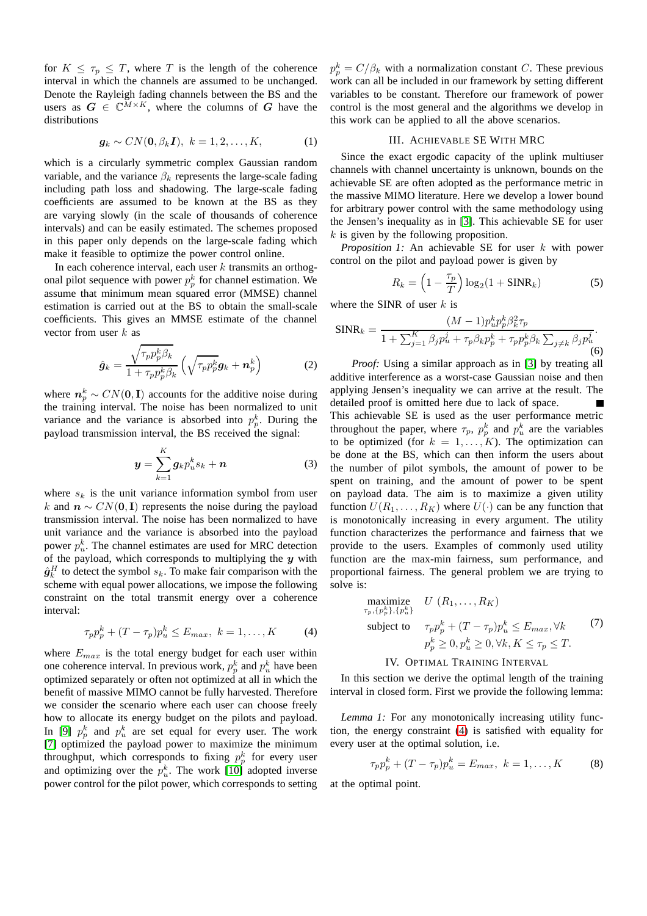for  $K \leq \tau_p \leq T$ , where T is the length of the coherence interval in which the channels are assumed to be unchanged. Denote the Rayleigh fading channels between the BS and the users as  $G \in \mathbb{C}^{M \times K}$ , where the columns of G have the distributions

$$
\mathbf{g}_k \sim CN(\mathbf{0}, \beta_k \mathbf{I}), \ k = 1, 2, \dots, K, \tag{1}
$$

which is a circularly symmetric complex Gaussian random variable, and the variance  $\beta_k$  represents the large-scale fading including path loss and shadowing. The large-scale fading coefficients are assumed to be known at the BS as they are varying slowly (in the scale of thousands of coherence intervals) and can be easily estimated. The schemes proposed in this paper only depends on the large-scale fading which make it feasible to optimize the power control online.

In each coherence interval, each user  $k$  transmits an orthogonal pilot sequence with power  $p_p^k$  for channel estimation. We assume that minimum mean squared error (MMSE) channel estimation is carried out at the BS to obtain the small-scale coefficients. This gives an MMSE estimate of the channel vector from user  $k$  as

$$
\hat{\boldsymbol{g}}_k = \frac{\sqrt{\tau_p p_p^k \beta_k}}{1 + \tau_p p_p^k \beta_k} \left( \sqrt{\tau_p p_p^k} \boldsymbol{g}_k + \boldsymbol{n}_p^k \right) \tag{2}
$$

where  $n_p^k \sim CN(0, I)$  accounts for the additive noise during the training interval. The noise has been normalized to unit variance and the variance is absorbed into  $p_p^k$ . During the payload transmission interval, the BS received the signal:

$$
\boldsymbol{y} = \sum_{k=1}^{K} \boldsymbol{g}_k p_u^k s_k + \boldsymbol{n}
$$
 (3)

where  $s_k$  is the unit variance information symbol from user k and  $n \sim CN(0, I)$  represents the noise during the payload transmission interval. The noise has been normalized to have unit variance and the variance is absorbed into the payload power  $p_u^k$ . The channel estimates are used for MRC detection of the payload, which corresponds to multiplying the  $y$  with  $\hat{\mathbf{g}}_k^H$  to detect the symbol  $s_k$ . To make fair comparison with the scheme with equal power allocations, we impose the following constraint on the total transmit energy over a coherence interval:

<span id="page-1-0"></span>
$$
\tau_p p_p^k + (T - \tau_p) p_u^k \le E_{max}, \ k = 1, \dots, K \tag{4}
$$

where  $E_{max}$  is the total energy budget for each user within one coherence interval. In previous work,  $p_p^k$  and  $p_u^k$  have been optimized separately or often not optimized at all in which the benefit of massive MIMO cannot be fully harvested. Therefore we consider the scenario where each user can choose freely how to allocate its energy budget on the pilots and payload. In [\[9\]](#page-5-2)  $p_p^k$  and  $p_u^k$  are set equal for every user. The work [\[7\]](#page-5-0) optimized the payload power to maximize the minimum throughput, which corresponds to fixing  $p_p^k$  for every user and optimizing over the  $p_u^k$ . The work [\[10\]](#page-5-3) adopted inverse power control for the pilot power, which corresponds to setting

 $p_p^k = C/\beta_k$  with a normalization constant C. These previous work can all be included in our framework by setting different variables to be constant. Therefore our framework of power control is the most general and the algorithms we develop in this work can be applied to all the above scenarios.

## III. ACHIEVABLE SE WITH MRC

Since the exact ergodic capacity of the uplink multiuser channels with channel uncertainty is unknown, bounds on the achievable SE are often adopted as the performance metric in the massive MIMO literature. Here we develop a lower bound for arbitrary power control with the same methodology using the Jensen's inequality as in [\[3\]](#page-4-2). This achievable SE for user  $k$  is given by the following proposition.

*Proposition 1:* An achievable SE for user k with power control on the pilot and payload power is given by

$$
R_k = \left(1 - \frac{\tau_p}{T}\right) \log_2(1 + \text{SINR}_k)
$$
\n(5)

where the SINR of user  $k$  is

<span id="page-1-1"></span>
$$
SINR_{k} = \frac{(M-1)p_{u}^{k}p_{p}^{k}\beta_{k}^{2}\tau_{p}}{1 + \sum_{j=1}^{K}\beta_{j}p_{u}^{j} + \tau_{p}\beta_{k}p_{p}^{k} + \tau_{p}p_{p}^{k}\beta_{k}\sum_{j\neq k}\beta_{j}p_{u}^{j}}.
$$
\n(6)

*Proof:* Using a similar approach as in [\[3\]](#page-4-2) by treating all additive interference as a worst-case Gaussian noise and then applying Jensen's inequality we can arrive at the result. The detailed proof is omitted here due to lack of space. This achievable SE is used as the user performance metric throughout the paper, where  $\tau_p$ ,  $p_p^k$  and  $p_u^k$  are the variables to be optimized (for  $k = 1, \ldots, K$ ). The optimization can be done at the BS, which can then inform the users about the number of pilot symbols, the amount of power to be spent on training, and the amount of power to be spent on payload data. The aim is to maximize a given utility function  $U(R_1, \ldots, R_K)$  where  $U(\cdot)$  can be any function that is monotonically increasing in every argument. The utility function characterizes the performance and fairness that we provide to the users. Examples of commonly used utility function are the max-min fairness, sum performance, and proportional fairness. The general problem we are trying to solve is:

<span id="page-1-2"></span>maximize 
$$
U(R_1,..., R_K)
$$
  
\n $\tau_p, \{p_p^k\}, \{p_u^k\}$   
\nsubject to  $\tau_p p_p^k + (T - \tau_p)p_u^k \le E_{max}, \forall k$  (7)  
\n $p_p^k \ge 0, p_u^k \ge 0, \forall k, K \le \tau_p \le T.$ 

## IV. OPTIMAL TRAINING INTERVAL

In this section we derive the optimal length of the training interval in closed form. First we provide the following lemma:

*Lemma 1:* For any monotonically increasing utility function, the energy constraint [\(4\)](#page-1-0) is satisfied with equality for every user at the optimal solution, i.e.

$$
\tau_p p_p^k + (T - \tau_p) p_u^k = E_{max}, \ k = 1, \dots, K \tag{8}
$$

at the optimal point.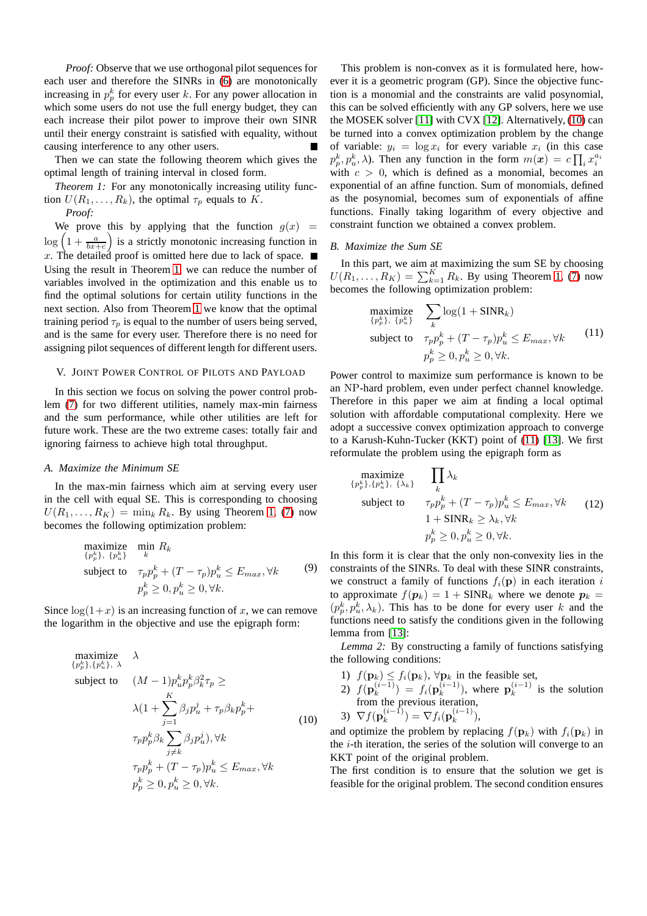*Proof:* Observe that we use orthogonal pilot sequences for each user and therefore the SINRs in [\(6\)](#page-1-1) are monotonically increasing in  $p_p^k$  for every user k. For any power allocation in which some users do not use the full energy budget, they can each increase their pilot power to improve their own SINR until their energy constraint is satisfied with equality, without causing interference to any other users.

Then we can state the following theorem which gives the optimal length of training interval in closed form.

*Theorem 1:* For any monotonically increasing utility function  $U(R_1, \ldots, R_k)$ , the optimal  $\tau_p$  equals to K.

*Proof:*

We prove this by applying that the function  $g(x)$  =  $\log\left(1+\frac{a}{bx+c}\right)$  is a strictly monotonic increasing function in  $x$ . The detailed proof is omitted here due to lack of space. Using the result in Theorem [1,](#page-2-0) we can reduce the number of variables involved in the optimization and this enable us to find the optimal solutions for certain utility functions in the next section. Also from Theorem [1](#page-2-0) we know that the optimal training period  $\tau_p$  is equal to the number of users being served, and is the same for every user. Therefore there is no need for assigning pilot sequences of different length for different users.

#### V. JOINT POWER CONTROL OF PILOTS AND PAYLOAD

In this section we focus on solving the power control problem [\(7\)](#page-1-2) for two different utilities, namely max-min fairness and the sum performance, while other utilities are left for future work. These are the two extreme cases: totally fair and ignoring fairness to achieve high total throughput.

## *A. Maximize the Minimum SE*

In the max-min fairness which aim at serving every user in the cell with equal SE. This is corresponding to choosing  $U(R_1, \ldots, R_K) = \min_k R_k$ . By using Theorem [1,](#page-2-0) [\(7\)](#page-1-2) now becomes the following optimization problem:

maximize 
$$
\min_{\{p_p^k\}, \{p_u^k\}} R_k
$$
  
subject to  $\tau_p p_p^k + (T - \tau_p)p_u^k \le E_{max}, \forall k$  (9)  
 $p_p^k \ge 0, p_u^k \ge 0, \forall k.$ 

Since  $log(1+x)$  is an increasing function of x, we can remove the logarithm in the objective and use the epigraph form:

<span id="page-2-1"></span>maximize 
$$
\lambda
$$
  
\n $\{p_p^k\}, \{p_u^k\}, \lambda$   
\nsubject to  $(M-1)p_u^k p_p^k \beta_k^2 \tau_p \ge$   
\n $\lambda \left(1 + \sum_{j=1}^K \beta_j p_u^j + \tau_p \beta_k p_p^k +$   
\n $\tau_p p_p^k \beta_k \sum_{\substack{j \neq k}} \beta_j p_u^j \right), \forall k$   
\n $\tau_p p_p^k + (T - \tau_p) p_u^k \le E_{max}, \forall k$   
\n $p_p^k \ge 0, p_u^k \ge 0, \forall k.$  (10)

This problem is non-convex as it is formulated here, however it is a geometric program (GP). Since the objective function is a monomial and the constraints are valid posynomial, this can be solved efficiently with any GP solvers, here we use the MOSEK solver [\[11\]](#page-5-4) with CVX [\[12\]](#page-5-5). Alternatively, [\(10\)](#page-2-1) can be turned into a convex optimization problem by the change of variable:  $y_i = \log x_i$  for every variable  $x_i$  (in this case  $p_p^k, p_u^k, \lambda$ ). Then any function in the form  $m(\boldsymbol{x}) = c \prod_i x_i^{a_i}$ with  $c > 0$ , which is defined as a monomial, becomes an exponential of an affine function. Sum of monomials, defined as the posynomial, becomes sum of exponentials of affine functions. Finally taking logarithm of every objective and constraint function we obtained a convex problem.

### <span id="page-2-0"></span>*B. Maximize the Sum SE*

In this part, we aim at maximizing the sum SE by choosing  $U(R_1,..., R_K) = \sum_{k=1}^{K} R_k$ . By using Theorem [1,](#page-2-0) [\(7\)](#page-1-2) now becomes the following optimization problem:

<span id="page-2-2"></span>maximize  
\n
$$
\sum_{\{p_p^k\}, \{p_u^k\}} \sum_k \log(1 + \text{SINR}_k)
$$
\nsubject to  
\n
$$
\tau_p p_p^k + (T - \tau_p) p_u^k \le E_{max}, \forall k
$$
\n
$$
p_p^k \ge 0, p_u^k \ge 0, \forall k.
$$
\n(11)

Power control to maximize sum performance is known to be an NP-hard problem, even under perfect channel knowledge. Therefore in this paper we aim at finding a local optimal solution with affordable computational complexity. Here we adopt a successive convex optimization approach to converge to a Karush-Kuhn-Tucker (KKT) point of [\(11\)](#page-2-2) [\[13\]](#page-5-6). We first reformulate the problem using the epigraph form as

<span id="page-2-3"></span>
$$
\begin{array}{ll}\n\text{maximize} \\
\{p_p^k\}, \{p_u^k\}, \ \{\lambda_k\} & \prod_k \lambda_k \\
\text{subject to} & \tau_p p_p^k + (T - \tau_p)p_u^k \le E_{max}, \forall k \\
& 1 + \text{SINR}_k \ge \lambda_k, \forall k \\
& p_p^k \ge 0, p_u^k \ge 0, \forall k.\n\end{array} \tag{12}
$$

In this form it is clear that the only non-convexity lies in the constraints of the SINRs. To deal with these SINR constraints, we construct a family of functions  $f_i(\mathbf{p})$  in each iteration i to approximate  $f(\mathbf{p}_k) = 1 + \text{SINR}_k$  where we denote  $\mathbf{p}_k =$  $(p_p^k, p_u^k, \lambda_k)$ . This has to be done for every user k and the functions need to satisfy the conditions given in the following lemma from [\[13\]](#page-5-6):

<span id="page-2-4"></span>*Lemma 2:* By constructing a family of functions satisfying the following conditions:

1)  $f(\mathbf{p}_k) \leq f_i(\mathbf{p}_k)$ ,  $\forall \mathbf{p}_k$  in the feasible set, 2)  $f(\mathbf{p}_k^{(i-1)})$  $\binom{(i-1)}{k} = f_i(\mathbf{p}_k^{(i-1)})$  $\binom{(i-1)}{k}$ , where  $\mathbf{p}_k^{(i-1)}$  $\binom{k}{k}$  is the solution from the previous iteration,<br> $\nabla f(\mathbf{x}^{(i-1)})$ 

3) 
$$
\nabla f(\mathbf{p}_k^{(i-1)}) = \nabla f_i(\mathbf{p}_k^{(i-1)}),
$$

and optimize the problem by replacing  $f(\mathbf{p}_k)$  with  $f_i(\mathbf{p}_k)$  in the  $i$ -th iteration, the series of the solution will converge to an KKT point of the original problem.

The first condition is to ensure that the solution we get is feasible for the original problem. The second condition ensures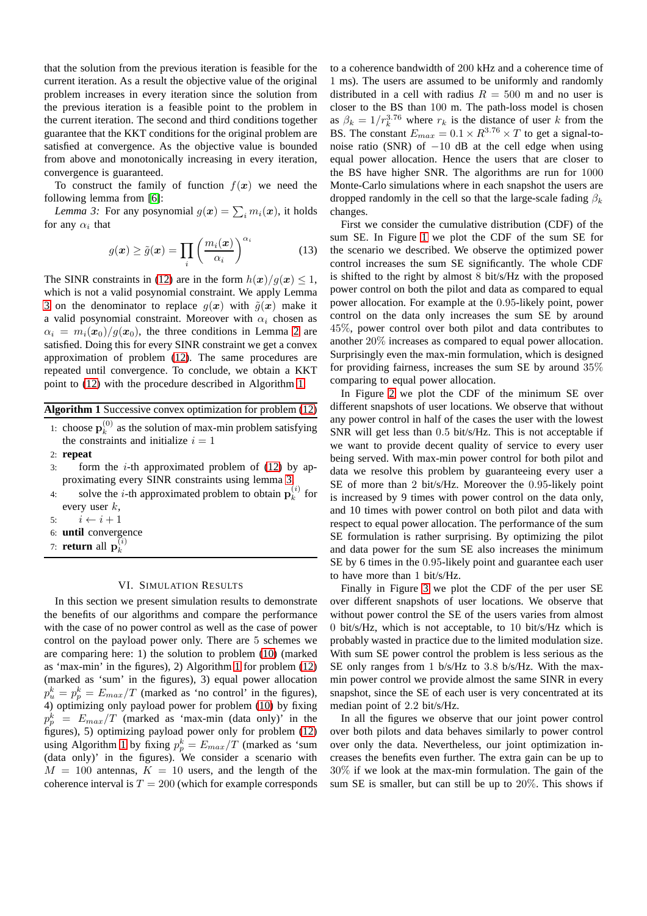that the solution from the previous iteration is feasible for the current iteration. As a result the objective value of the original problem increases in every iteration since the solution from the previous iteration is a feasible point to the problem in the current iteration. The second and third conditions together guarantee that the KKT conditions for the original problem are satisfied at convergence. As the objective value is bounded from above and monotonically increasing in every iteration, convergence is guaranteed.

To construct the family of function  $f(x)$  we need the following lemma from [\[6\]](#page-4-5):

*Lemma 3:* For any posynomial  $g(\boldsymbol{x}) = \sum_i m_i(\boldsymbol{x})$ , it holds for any  $\alpha_i$  that

<span id="page-3-0"></span>
$$
g(\boldsymbol{x}) \ge \tilde{g}(\boldsymbol{x}) = \prod_{i} \left( \frac{m_i(\boldsymbol{x})}{\alpha_i} \right)^{\alpha_i} \tag{13}
$$

The SINR constraints in [\(12\)](#page-2-3) are in the form  $h(x)/g(x) \leq 1$ , which is not a valid posynomial constraint. We apply Lemma [3](#page-3-0) on the denominator to replace  $g(x)$  with  $\tilde{g}(x)$  make it a valid posynomial constraint. Moreover with  $\alpha_i$  chosen as  $\alpha_i = m_i(\mathbf{x}_0)/g(\mathbf{x}_0)$ , the three conditions in Lemma [2](#page-2-4) are satisfied. Doing this for every SINR constraint we get a convex approximation of problem [\(12\)](#page-2-3). The same procedures are repeated until convergence. To conclude, we obtain a KKT point to [\(12\)](#page-2-3) with the procedure described in Algorithm [1.](#page-3-1)

<span id="page-3-1"></span>**Algorithm 1** Successive convex optimization for problem [\(12\)](#page-2-3)

- 1: choose  $\mathbf{p}_k^{(0)}$  $k<sup>(0)</sup>$  as the solution of max-min problem satisfying the constraints and initialize  $i = 1$
- 2: **repeat**
- 3: form the  $i$ -th approximated problem of [\(12\)](#page-2-3) by approximating every SINR constraints using lemma [3,](#page-3-0)
- 4: solve the *i*-th approximated problem to obtain  $\mathbf{p}_k^{(i)}$  $\binom{n}{k}$  for every user  $k$ ,
- 5:  $i \leftarrow i + 1$
- 6: **until** convergence
- 7: **return** all  $\mathbf{p}_k^{(i)}$ k

#### VI. SIMULATION RESULTS

In this section we present simulation results to demonstrate the benefits of our algorithms and compare the performance with the case of no power control as well as the case of power control on the payload power only. There are 5 schemes we are comparing here: 1) the solution to problem [\(10\)](#page-2-1) (marked as 'max-min' in the figures), 2) Algorithm [1](#page-3-1) for problem [\(12\)](#page-2-3) (marked as 'sum' in the figures), 3) equal power allocation  $p_u^k = p_p^k = E_{max}/T$  (marked as 'no control' in the figures), 4) optimizing only payload power for problem [\(10\)](#page-2-1) by fixing  $p_p^k = E_{max}/T$  (marked as 'max-min (data only)' in the figures), 5) optimizing payload power only for problem [\(12\)](#page-2-3) using Algorithm [1](#page-3-1) by fixing  $p_p^k = E_{max}/T$  (marked as 'sum (data only)' in the figures). We consider a scenario with  $M = 100$  antennas,  $K = 10$  users, and the length of the coherence interval is  $T = 200$  (which for example corresponds

to a coherence bandwidth of 200 kHz and a coherence time of 1 ms). The users are assumed to be uniformly and randomly distributed in a cell with radius  $R = 500$  m and no user is closer to the BS than 100 m. The path-loss model is chosen as  $\beta_k = 1/r_k^{3.76}$  where  $r_k$  is the distance of user k from the BS. The constant  $E_{max} = 0.1 \times R^{3.76} \times T$  to get a signal-tonoise ratio (SNR) of  $-10$  dB at the cell edge when using equal power allocation. Hence the users that are closer to the BS have higher SNR. The algorithms are run for 1000 Monte-Carlo simulations where in each snapshot the users are dropped randomly in the cell so that the large-scale fading  $\beta_k$ changes.

First we consider the cumulative distribution (CDF) of the sum SE. In Figure [1](#page-4-6) we plot the CDF of the sum SE for the scenario we described. We observe the optimized power control increases the sum SE significantly. The whole CDF is shifted to the right by almost 8 bit/s/Hz with the proposed power control on both the pilot and data as compared to equal power allocation. For example at the 0.95-likely point, power control on the data only increases the sum SE by around 45%, power control over both pilot and data contributes to another 20% increases as compared to equal power allocation. Surprisingly even the max-min formulation, which is designed for providing fairness, increases the sum SE by around 35% comparing to equal power allocation.

In Figure [2](#page-4-7) we plot the CDF of the minimum SE over different snapshots of user locations. We observe that without any power control in half of the cases the user with the lowest SNR will get less than 0.5 bit/s/Hz. This is not acceptable if we want to provide decent quality of service to every user being served. With max-min power control for both pilot and data we resolve this problem by guaranteeing every user a SE of more than 2 bit/s/Hz. Moreover the 0.95-likely point is increased by 9 times with power control on the data only, and 10 times with power control on both pilot and data with respect to equal power allocation. The performance of the sum SE formulation is rather surprising. By optimizing the pilot and data power for the sum SE also increases the minimum SE by 6 times in the 0.95-likely point and guarantee each user to have more than 1 bit/s/Hz.

Finally in Figure [3](#page-4-8) we plot the CDF of the per user SE over different snapshots of user locations. We observe that without power control the SE of the users varies from almost 0 bit/s/Hz, which is not acceptable, to 10 bit/s/Hz which is probably wasted in practice due to the limited modulation size. With sum SE power control the problem is less serious as the SE only ranges from 1 b/s/Hz to 3.8 b/s/Hz. With the maxmin power control we provide almost the same SINR in every snapshot, since the SE of each user is very concentrated at its median point of 2.2 bit/s/Hz.

In all the figures we observe that our joint power control over both pilots and data behaves similarly to power control over only the data. Nevertheless, our joint optimization increases the benefits even further. The extra gain can be up to 30% if we look at the max-min formulation. The gain of the sum SE is smaller, but can still be up to 20%. This shows if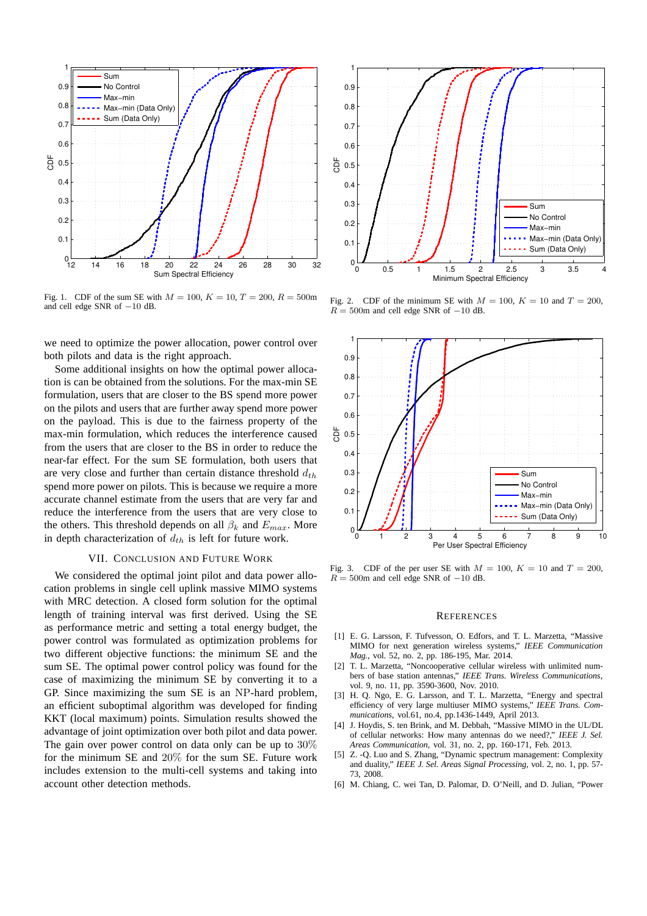

<span id="page-4-6"></span>Fig. 1. CDF of the sum SE with  $M = 100, K = 10, T = 200, R = 500$ m and cell edge SNR of −10 dB.

we need to optimize the power allocation, power control over both pilots and data is the right approach.

Some additional insights on how the optimal power allocation is can be obtained from the solutions. For the max-min SE formulation, users that are closer to the BS spend more power on the pilots and users that are further away spend more power on the payload. This is due to the fairness property of the max-min formulation, which reduces the interference caused from the users that are closer to the BS in order to reduce the near-far effect. For the sum SE formulation, both users that are very close and further than certain distance threshold  $d_{th}$ spend more power on pilots. This is because we require a more accurate channel estimate from the users that are very far and reduce the interference from the users that are very close to the others. This threshold depends on all  $\beta_k$  and  $E_{max}$ . More in depth characterization of  $d_{th}$  is left for future work.

### VII. CONCLUSION AND FUTURE WORK

We considered the optimal joint pilot and data power allocation problems in single cell uplink massive MIMO systems with MRC detection. A closed form solution for the optimal length of training interval was first derived. Using the SE as performance metric and setting a total energy budget, the power control was formulated as optimization problems for two different objective functions: the minimum SE and the sum SE. The optimal power control policy was found for the case of maximizing the minimum SE by converting it to a GP. Since maximizing the sum SE is an NP-hard problem, an efficient suboptimal algorithm was developed for finding KKT (local maximum) points. Simulation results showed the advantage of joint optimization over both pilot and data power. The gain over power control on data only can be up to  $30\%$ for the minimum SE and 20% for the sum SE. Future work includes extension to the multi-cell systems and taking into account other detection methods.



<span id="page-4-7"></span>Fig. 2. CDF of the minimum SE with  $M = 100$ ,  $K = 10$  and  $T = 200$ ,  $R = 500$ m and cell edge SNR of -10 dB.



<span id="page-4-8"></span>Fig. 3. CDF of the per user SE with  $M = 100$ ,  $K = 10$  and  $T = 200$ ,  $R = 500$ m and cell edge SNR of -10 dB.

#### **REFERENCES**

- <span id="page-4-0"></span>[1] E. G. Larsson, F. Tufvesson, O. Edfors, and T. L. Marzetta, "Massive MIMO for next generation wireless systems," *IEEE Communication Mag.*, vol. 52, no. 2, pp. 186-195, Mar. 2014.
- <span id="page-4-1"></span>[2] T. L. Marzetta, "Noncooperative cellular wireless with unlimited numbers of base station antennas," *IEEE Trans. Wireless Communications*, vol. 9, no. 11, pp. 3590-3600, Nov. 2010.
- <span id="page-4-2"></span>[3] H. Q. Ngo, E. G. Larsson, and T. L. Marzetta, "Energy and spectral efficiency of very large multiuser MIMO systems," *IEEE Trans. Communications*, vol.61, no.4, pp.1436-1449, April 2013.
- <span id="page-4-3"></span>[4] J. Hoydis, S. ten Brink, and M. Debbah, "Massive MIMO in the UL/DL of cellular networks: How many antennas do we need?," *IEEE J. Sel. Areas Communication*, vol. 31, no. 2, pp. 160-171, Feb. 2013.
- <span id="page-4-4"></span>[5] Z. -Q. Luo and S. Zhang, "Dynamic spectrum management: Complexity and duality," *IEEE J. Sel. Areas Signal Processing*, vol. 2, no. 1, pp. 57- 73, 2008.
- <span id="page-4-5"></span>[6] M. Chiang, C. wei Tan, D. Palomar, D. O'Neill, and D. Julian, "Power